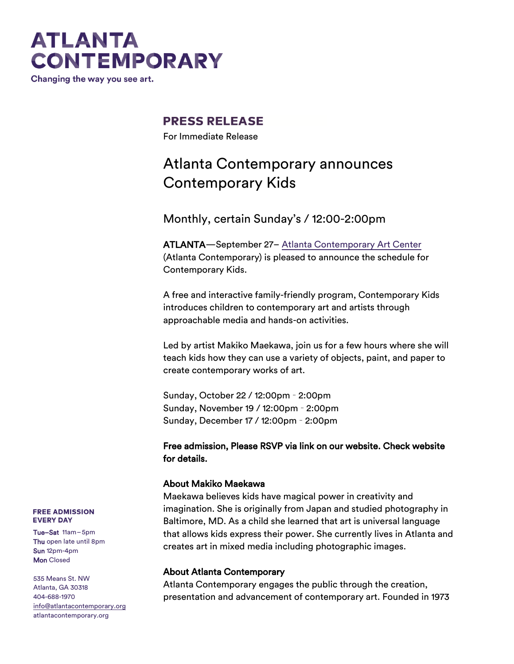## **ATLANTA CONTEMPORARY**

Changing the way you see art.

### **PRESS RELEASE**

For Immediate Release

### Atlanta Contemporary announces Contemporary Kids

Monthly, certain Sunday's / 12:00-2:00pm

ATLANTA—September 27– [Atlanta Contemporary Art Center](http://atlantacontemporary.org/) (Atlanta Contemporary) is pleased to announce the schedule for Contemporary Kids.

A free and interactive family-friendly program, Contemporary Kids introduces children to contemporary art and artists through approachable media and hands-on activities.

Led by artist Makiko Maekawa, join us for a few hours where she will teach kids how they can use a variety of objects, paint, and paper to create contemporary works of art.

Sunday, October 22 / 12:00pm – 2:00pm Sunday, November 19 / 12:00pm – 2:00pm Sunday, December 17 / 12:00pm – 2:00pm

#### Free admission, Please RSVP via link on our website. Check website for details.

#### About Makiko Maekawa

Maekawa believes kids have magical power in creativity and imagination. She is originally from Japan and studied photography in Baltimore, MD. As a child she learned that art is universal language that allows kids express their power. She currently lives in Atlanta and creates art in mixed media including photographic images.

#### About Atlanta Contemporary

Atlanta Contemporary engages the public through the creation, presentation and advancement of contemporary art. Founded in 1973

#### **FREE ADMISSION EVERY DAY**

Tue–Sat 11am–5pm Thu open late until 8pm Sun 12pm-4pm **Mon** Closed

535 Means St. NW Atlanta, GA 30318 404-688-1970 [info@atlantacontemporary.org](mailto:info@atlantacontemporary.org) atlantacontemporary.org